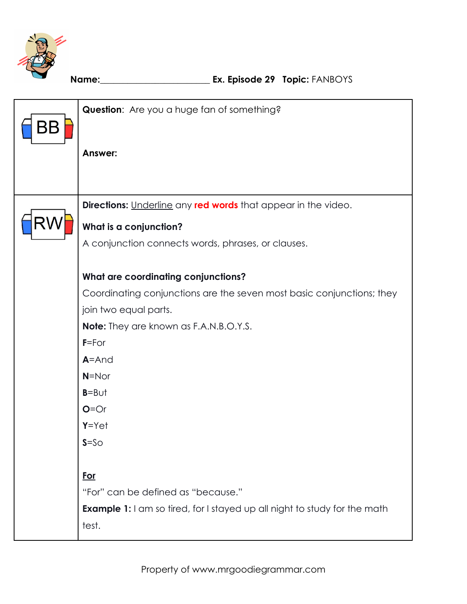

| BB | Question: Are you a huge fan of something?                                       |
|----|----------------------------------------------------------------------------------|
|    | Answer:                                                                          |
|    | <b>Directions:</b> Underline any <b>red words</b> that appear in the video.      |
| R١ |                                                                                  |
|    | What is a conjunction?                                                           |
|    | A conjunction connects words, phrases, or clauses.                               |
|    | <b>What are coordinating conjunctions?</b>                                       |
|    | Coordinating conjunctions are the seven most basic conjunctions; they            |
|    |                                                                                  |
|    | join two equal parts.                                                            |
|    | <b>Note:</b> They are known as F.A.N.B.O.Y.S.                                    |
|    | $F = For$                                                                        |
|    | $A = And$                                                                        |
|    | $N = N$ or                                                                       |
|    | $B = B \cup t$                                                                   |
|    | $O = Or$                                                                         |
|    | $Y = Y e t$                                                                      |
|    | $S = SO$                                                                         |
|    |                                                                                  |
|    | <u>For</u>                                                                       |
|    | "For" can be defined as "because."                                               |
|    | <b>Example 1:</b> I am so tired, for I stayed up all night to study for the math |
|    | test.                                                                            |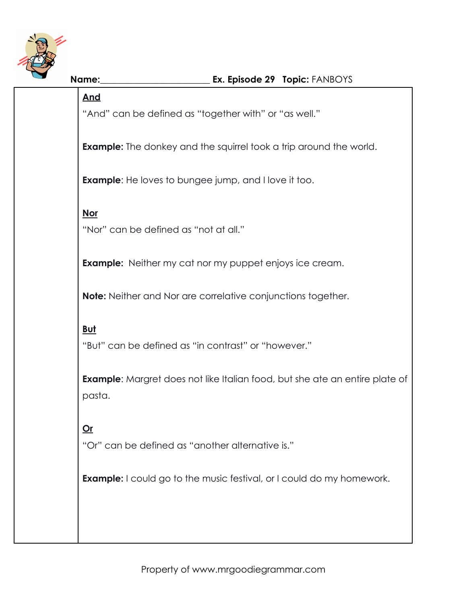

# **Name:**\_\_\_\_\_\_\_\_\_\_\_\_\_\_\_\_\_\_\_\_\_\_\_\_ **Ex. Episode 29 Topic:** FANBOYS **And** "And" can be defined as "together with" or "as well." **Example:** The donkey and the squirrel took a trip around the world. **Example:** He loves to bungee jump, and I love it too. **Nor** "Nor" can be defined as "not at all." **Example:** Neither my cat nor my puppet enjoys ice cream. **Note:** Neither and Nor are correlative conjunctions together. **But** "But" can be defined as "in contrast" or "however." **Example:** Margret does not like Italian food, but she ate an entire plate of pasta. **Or** "Or" can be defined as "another alternative is." **Example:** I could go to the music festival, or I could do my homework.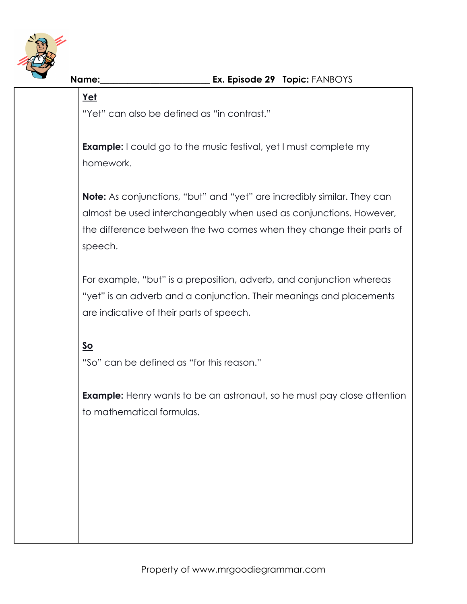

#### **Yet**

"Yet" can also be defined as "in contrast."

**Example:** I could go to the music festival, yet I must complete my homework.

**Note:** As conjunctions, "but" and "yet" are incredibly similar. They can almost be used interchangeably when used as conjunctions. However, the difference between the two comes when they change their parts of speech.

For example, "but" is a preposition, adverb, and conjunction whereas "yet" is an adverb and a conjunction. Their meanings and placements are indicative of their parts of speech.

# **So**

"So" can be defined as "for this reason."

**Example:** Henry wants to be an astronaut, so he must pay close attention to mathematical formulas.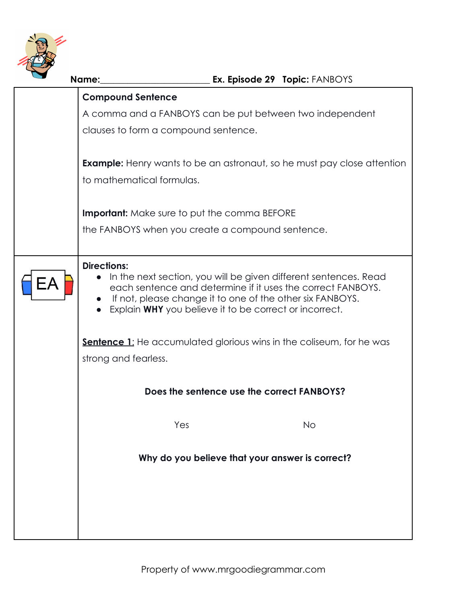

| Ex. Episode 29 Topic: FANBOYS<br>Name:                                                                                                                                                                                                                                                                 |
|--------------------------------------------------------------------------------------------------------------------------------------------------------------------------------------------------------------------------------------------------------------------------------------------------------|
| <b>Compound Sentence</b>                                                                                                                                                                                                                                                                               |
| A comma and a FANBOYS can be put between two independent                                                                                                                                                                                                                                               |
| clauses to form a compound sentence.                                                                                                                                                                                                                                                                   |
| <b>Example:</b> Henry wants to be an astronaut, so he must pay close attention<br>to mathematical formulas.                                                                                                                                                                                            |
| <b>Important:</b> Make sure to put the comma BEFORE                                                                                                                                                                                                                                                    |
| the FANBOYS when you create a compound sentence.                                                                                                                                                                                                                                                       |
| <b>Directions:</b><br>In the next section, you will be given different sentences. Read<br>$\bullet$<br>each sentence and determine if it uses the correct FANBOYS.<br>If not, please change it to one of the other six FANBOYS.<br>$\bullet$<br>Explain WHY you believe it to be correct or incorrect. |
| <b>Sentence 1:</b> He accumulated glorious wins in the coliseum, for he was<br>strong and fearless.                                                                                                                                                                                                    |
| Does the sentence use the correct FANBOYS?                                                                                                                                                                                                                                                             |
| Yes<br><b>No</b>                                                                                                                                                                                                                                                                                       |
| Why do you believe that your answer is correct?                                                                                                                                                                                                                                                        |
|                                                                                                                                                                                                                                                                                                        |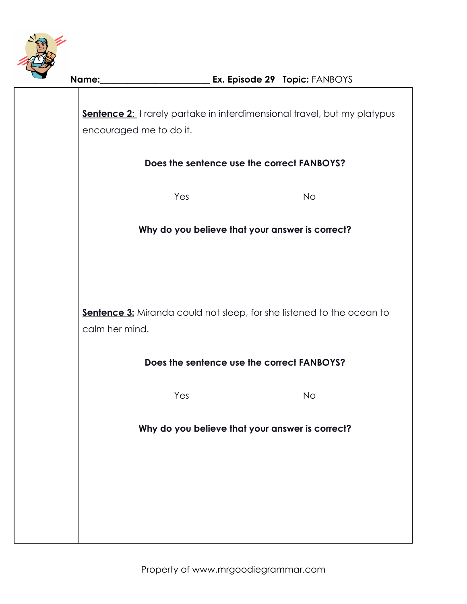

**Sentence 2:** I rarely partake in interdimensional travel, but my platypus encouraged me to do it.

### **Does the sentence use the correct FANBOYS?**

Yes No

### **Why do you believe that your answer is correct?**

**Sentence 3:** Miranda could not sleep, for she listened to the ocean to calm her mind.

# **Does the sentence use the correct FANBOYS?**

Yes No

**Why do you believe that your answer is correct?**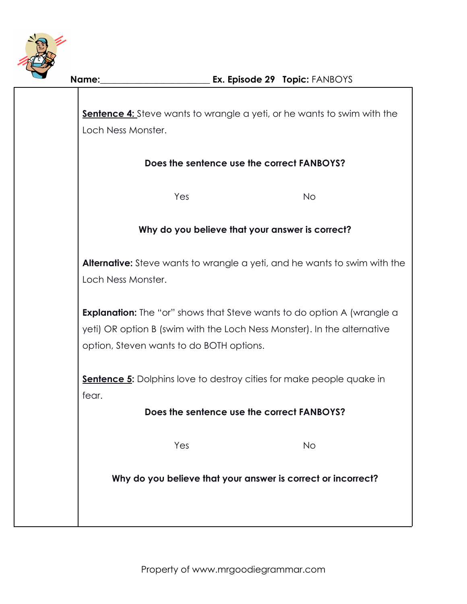

**Sentence 4:** Steve wants to wrangle a yeti, or he wants to swim with the Loch Ness Monster.

# **Does the sentence use the correct FANBOYS?**

Yes No

### **Why do you believe that your answer is correct?**

**Alternative:** Steve wants to wrangle a yeti, and he wants to swim with the Loch Ness Monster.

**Explanation:** The "or" shows that Steve wants to do option A (wrangle a yeti) OR option B (swim with the Loch Ness Monster). In the alternative option, Steven wants to do BOTH options.

**Sentence 5:** Dolphins love to destroy cities for make people quake in fear.

#### **Does the sentence use the correct FANBOYS?**

Yes No

**Why do you believe that your answer is correct or incorrect?**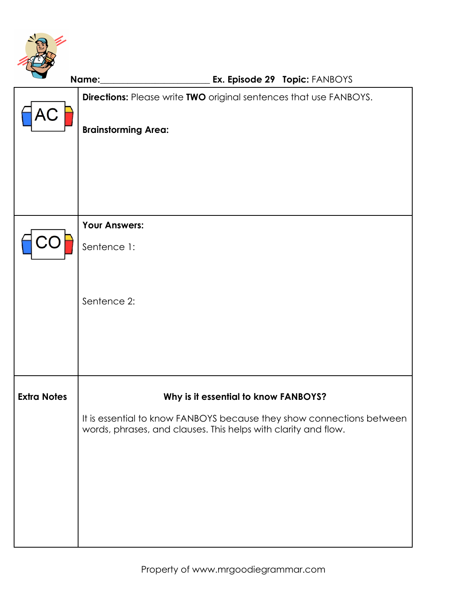

|                    | Ex. Episode 29 Topic: FANBOYS<br>Name:                                                                                                                                          |
|--------------------|---------------------------------------------------------------------------------------------------------------------------------------------------------------------------------|
| AC                 | Directions: Please write TWO original sentences that use FANBOYS.<br><b>Brainstorming Area:</b>                                                                                 |
|                    |                                                                                                                                                                                 |
|                    | <b>Your Answers:</b><br>Sentence 1:                                                                                                                                             |
|                    | Sentence 2:                                                                                                                                                                     |
| <b>Extra Notes</b> | Why is it essential to know FANBOYS?<br>It is essential to know FANBOYS because they show connections between<br>words, phrases, and clauses. This helps with clarity and flow. |